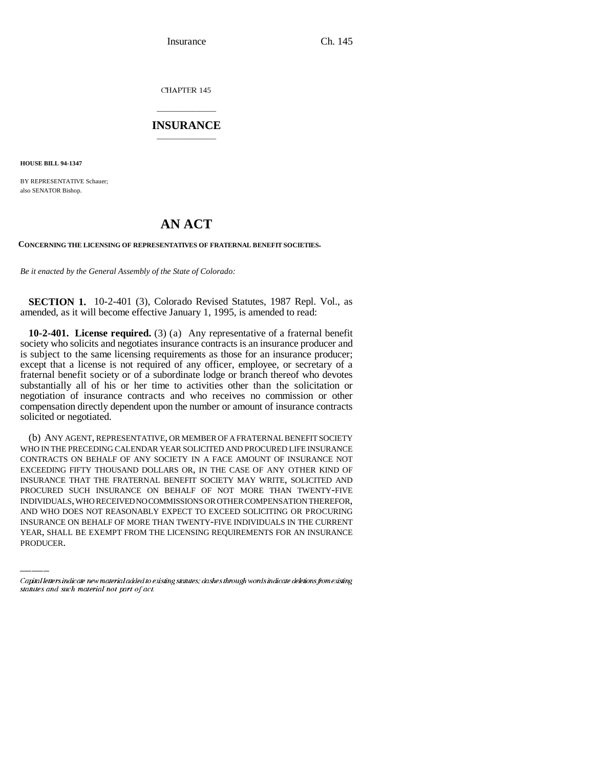Insurance Ch. 145

CHAPTER 145

## \_\_\_\_\_\_\_\_\_\_\_\_\_\_\_ **INSURANCE** \_\_\_\_\_\_\_\_\_\_\_\_\_\_\_

**HOUSE BILL 94-1347**

BY REPRESENTATIVE Schauer; also SENATOR Bishop.

## **AN ACT**

**CONCERNING THE LICENSING OF REPRESENTATIVES OF FRATERNAL BENEFIT SOCIETIES.**

*Be it enacted by the General Assembly of the State of Colorado:*

**SECTION 1.** 10-2-401 (3), Colorado Revised Statutes, 1987 Repl. Vol., as amended, as it will become effective January 1, 1995, is amended to read:

**10-2-401. License required.** (3) (a) Any representative of a fraternal benefit society who solicits and negotiates insurance contracts is an insurance producer and is subject to the same licensing requirements as those for an insurance producer; except that a license is not required of any officer, employee, or secretary of a fraternal benefit society or of a subordinate lodge or branch thereof who devotes substantially all of his or her time to activities other than the solicitation or negotiation of insurance contracts and who receives no commission or other compensation directly dependent upon the number or amount of insurance contracts solicited or negotiated.

INDIVIDUALS, WHO RECEIVED NO COMMISSIONS OR OTHER COMPENSATION THEREFOR, (b) ANY AGENT, REPRESENTATIVE, OR MEMBER OF A FRATERNAL BENEFIT SOCIETY WHO IN THE PRECEDING CALENDAR YEAR SOLICITED AND PROCURED LIFE INSURANCE CONTRACTS ON BEHALF OF ANY SOCIETY IN A FACE AMOUNT OF INSURANCE NOT EXCEEDING FIFTY THOUSAND DOLLARS OR, IN THE CASE OF ANY OTHER KIND OF INSURANCE THAT THE FRATERNAL BENEFIT SOCIETY MAY WRITE, SOLICITED AND PROCURED SUCH INSURANCE ON BEHALF OF NOT MORE THAN TWENTY-FIVE AND WHO DOES NOT REASONABLY EXPECT TO EXCEED SOLICITING OR PROCURING INSURANCE ON BEHALF OF MORE THAN TWENTY-FIVE INDIVIDUALS IN THE CURRENT YEAR, SHALL BE EXEMPT FROM THE LICENSING REQUIREMENTS FOR AN INSURANCE PRODUCER.

Capital letters indicate new material added to existing statutes; dashes through words indicate deletions from existing statutes and such material not part of act.